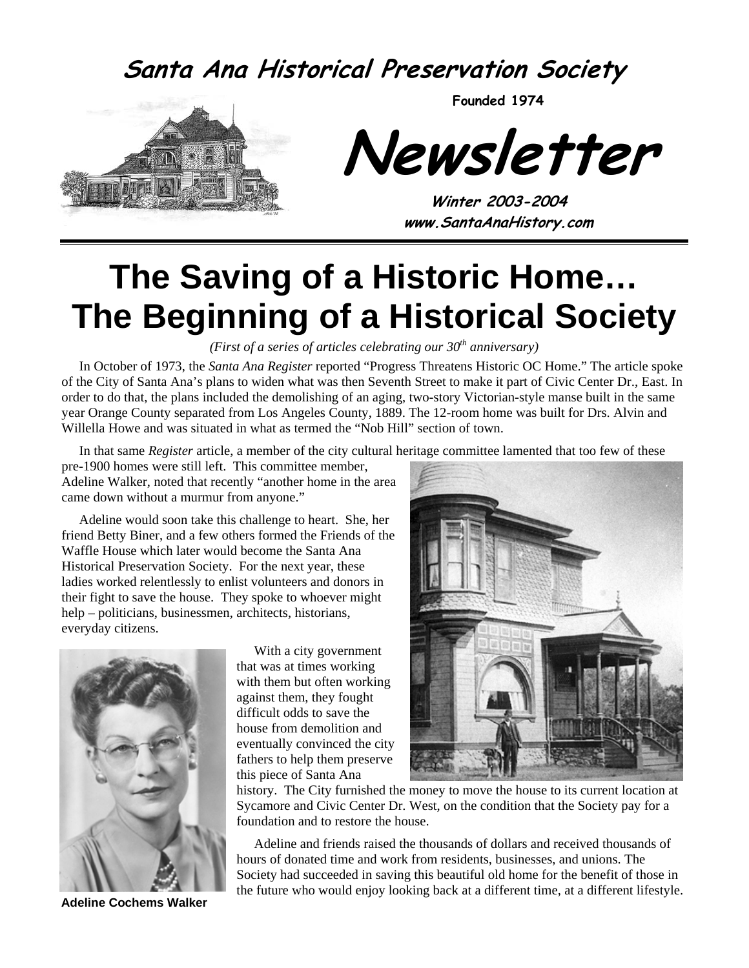### **Santa Ana Historical Preservation Society**



**Founded 1974** 

**Newsletter** 

**Winter 2003-2004 www.SantaAnaHistory.com** 

# **The Saving of a Historic Home… The Beginning of a Historical Society**

*(First of a series of articles celebrating our 30<sup>th</sup> anniversary)* 

In October of 1973, the *Santa Ana Register* reported "Progress Threatens Historic OC Home." The article spoke of the City of Santa Ana's plans to widen what was then Seventh Street to make it part of Civic Center Dr., East. In order to do that, the plans included the demolishing of an aging, two-story Victorian-style manse built in the same year Orange County separated from Los Angeles County, 1889. The 12-room home was built for Drs. Alvin and Willella Howe and was situated in what as termed the "Nob Hill" section of town.

In that same *Register* article, a member of the city cultural heritage committee lamented that too few of these

pre-1900 homes were still left. This committee member, Adeline Walker, noted that recently "another home in the area came down without a murmur from anyone."

Adeline would soon take this challenge to heart. She, her friend Betty Biner, and a few others formed the Friends of the Waffle House which later would become the Santa Ana Historical Preservation Society. For the next year, these ladies worked relentlessly to enlist volunteers and donors in their fight to save the house. They spoke to whoever might help – politicians, businessmen, architects, historians, everyday citizens.



 **Adeline Cochems Walker**

With a city government that was at times working with them but often working against them, they fought difficult odds to save the house from demolition and eventually convinced the city fathers to help them preserve this piece of Santa Ana



history. The City furnished the money to move the house to its current location at Sycamore and Civic Center Dr. West, on the condition that the Society pay for a foundation and to restore the house.

Adeline and friends raised the thousands of dollars and received thousands of hours of donated time and work from residents, businesses, and unions. The Society had succeeded in saving this beautiful old home for the benefit of those in the future who would enjoy looking back at a different time, at a different lifestyle.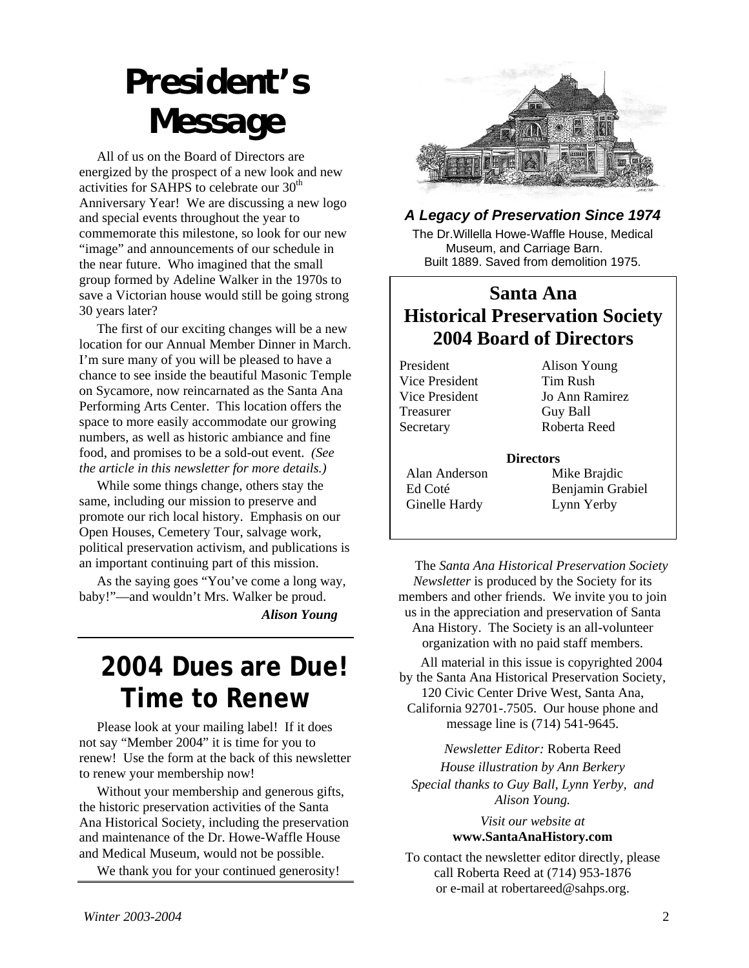# *President's Message*

All of us on the Board of Directors are energized by the prospect of a new look and new activities for SAHPS to celebrate our  $30<sup>th</sup>$ Anniversary Year! We are discussing a new logo and special events throughout the year to commemorate this milestone, so look for our new "image" and announcements of our schedule in the near future. Who imagined that the small group formed by Adeline Walker in the 1970s to save a Victorian house would still be going strong 30 years later?

The first of our exciting changes will be a new location for our Annual Member Dinner in March. I'm sure many of you will be pleased to have a chance to see inside the beautiful Masonic Temple on Sycamore, now reincarnated as the Santa Ana Performing Arts Center. This location offers the space to more easily accommodate our growing numbers, as well as historic ambiance and fine food, and promises to be a sold-out event. *(See the article in this newsletter for more details.)*

While some things change, others stay the same, including our mission to preserve and promote our rich local history. Emphasis on our Open Houses, Cemetery Tour, salvage work, political preservation activism, and publications is an important continuing part of this mission.

As the saying goes "You've come a long way, baby!"—and wouldn't Mrs. Walker be proud.  *Alison Young* 

### **2004 Dues are Due! Time to Renew**

Please look at your mailing label! If it does not say "Member 2004" it is time for you to renew! Use the form at the back of this newsletter to renew your membership now!

Without your membership and generous gifts, the historic preservation activities of the Santa Ana Historical Society, including the preservation and maintenance of the Dr. Howe-Waffle House and Medical Museum, would not be possible.

We thank you for your continued generosity!



#### *A Legacy of Preservation Since 1974*

The Dr.Willella Howe-Waffle House, Medical Museum, and Carriage Barn. Built 1889. Saved from demolition 1975.

#### **Santa Ana Historical Preservation Society 2004 Board of Directors**

President Alison Young Vice President Tim Rush Treasurer Guy Ball Secretary Roberta Reed

Vice President Jo Ann Ramirez

#### **Directors**

 Alan Anderson Mike Brajdic Ginelle Hardy Lynn Yerby

Ed Coté Benjamin Grabiel

The *Santa Ana Historical Preservation Society Newsletter* is produced by the Society for its members and other friends. We invite you to join us in the appreciation and preservation of Santa Ana History. The Society is an all-volunteer organization with no paid staff members.

All material in this issue is copyrighted 2004 by the Santa Ana Historical Preservation Society, 120 Civic Center Drive West, Santa Ana, California 92701-.7505. Our house phone and message line is (714) 541-9645.

*Newsletter Editor:* Roberta Reed *House illustration by Ann Berkery Special thanks to Guy Ball, Lynn Yerby, and Alison Young.* 

> *Visit our website at*  **www.SantaAnaHistory.com**

To contact the newsletter editor directly, please call Roberta Reed at (714) 953-1876 or e-mail at robertareed@sahps.org.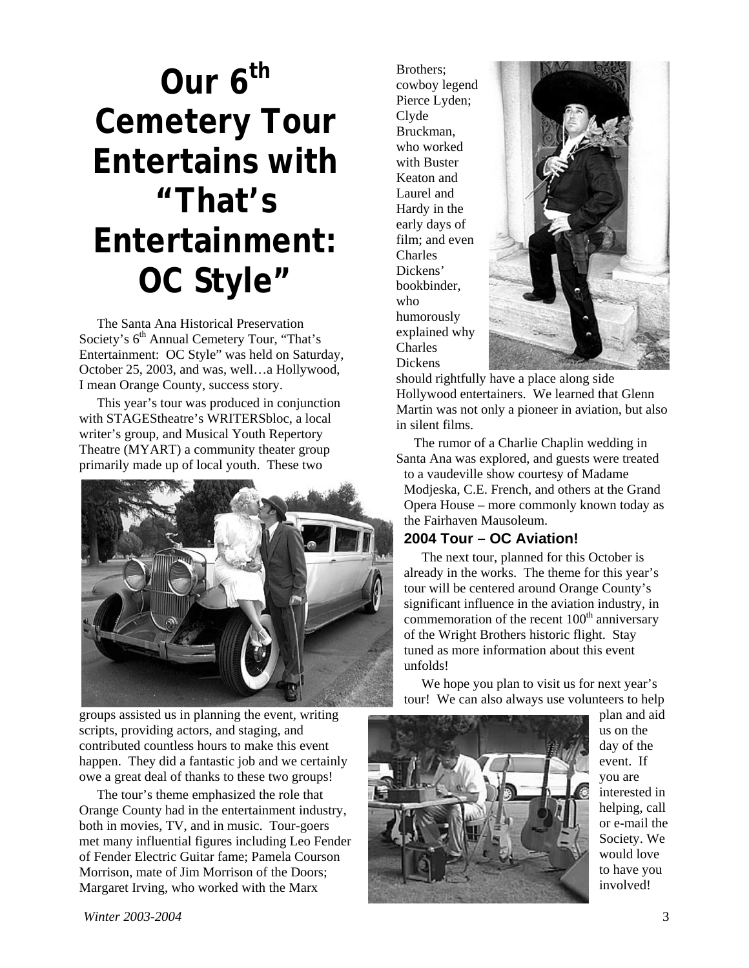# **Our 6th Cemetery Tour Entertains with "That's Entertainment: OC Style"**

The Santa Ana Historical Preservation Society's  $6<sup>th</sup>$  Annual Cemetery Tour, "That's Entertainment: OC Style" was held on Saturday, October 25, 2003, and was, well…a Hollywood, I mean Orange County, success story.

This year's tour was produced in conjunction with STAGEStheatre's WRITERSbloc, a local writer's group, and Musical Youth Repertory Theatre (MYART) a community theater group primarily made up of local youth. These two



groups assisted us in planning the event, writing scripts, providing actors, and staging, and contributed countless hours to make this event happen. They did a fantastic job and we certainly owe a great deal of thanks to these two groups!

The tour's theme emphasized the role that Orange County had in the entertainment industry, both in movies, TV, and in music. Tour-goers met many influential figures including Leo Fender of Fender Electric Guitar fame; Pamela Courson Morrison, mate of Jim Morrison of the Doors; Margaret Irving, who worked with the Marx

Brothers; cowboy legend Pierce Lyden; Clyde Bruckman, who worked with Buster Keaton and Laurel and Hardy in the early days of film; and even Charles Dickens' bookbinder, who humorously explained why Charles Dickens



should rightfully have a place along side Hollywood entertainers. We learned that Glenn Martin was not only a pioneer in aviation, but also in silent films.

The rumor of a Charlie Chaplin wedding in Santa Ana was explored, and guests were treated to a vaudeville show courtesy of Madame Modjeska, C.E. French, and others at the Grand Opera House – more commonly known today as the Fairhaven Mausoleum.

#### **2004 Tour – OC Aviation!**

The next tour, planned for this October is already in the works. The theme for this year's tour will be centered around Orange County's significant influence in the aviation industry, in commemoration of the recent  $100<sup>th</sup>$  anniversary of the Wright Brothers historic flight. Stay tuned as more information about this event unfolds!

We hope you plan to visit us for next year's tour! We can also always use volunteers to help



plan and aid us on the day of the event. If you are interested in helping, call or e-mail the Society. We would love to have you involved!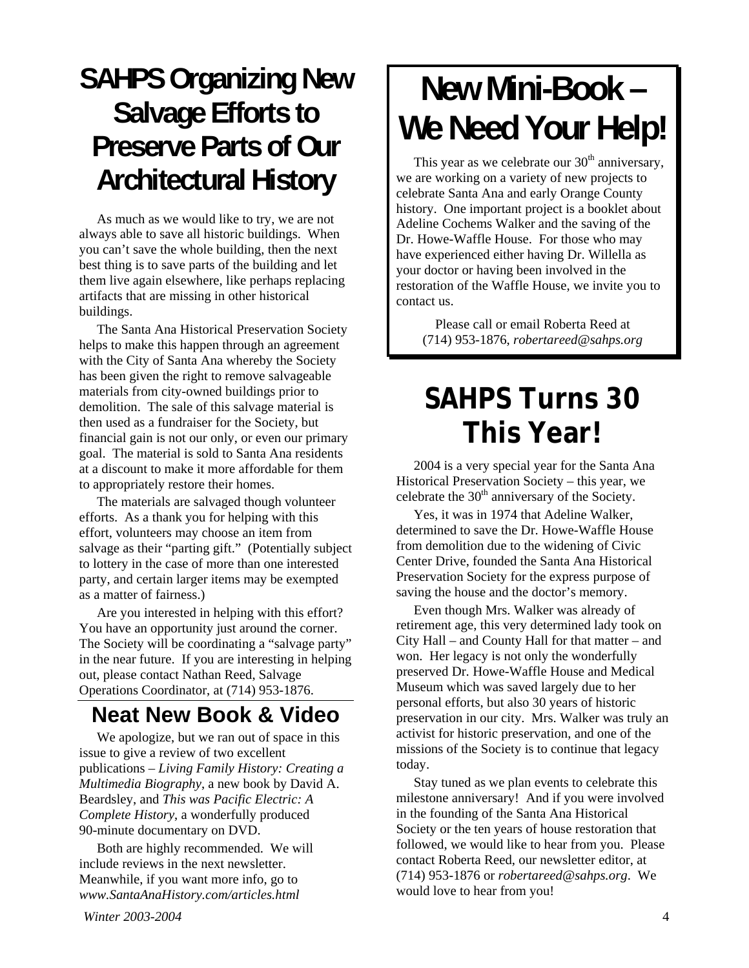## **SAHPS Organizing New Salvage Efforts to Preserve Parts of Our Architectural History**

As much as we would like to try, we are not always able to save all historic buildings. When you can't save the whole building, then the next best thing is to save parts of the building and let them live again elsewhere, like perhaps replacing artifacts that are missing in other historical buildings.

The Santa Ana Historical Preservation Society helps to make this happen through an agreement with the City of Santa Ana whereby the Society has been given the right to remove salvageable materials from city-owned buildings prior to demolition. The sale of this salvage material is then used as a fundraiser for the Society, but financial gain is not our only, or even our primary goal. The material is sold to Santa Ana residents at a discount to make it more affordable for them to appropriately restore their homes.

The materials are salvaged though volunteer efforts. As a thank you for helping with this effort, volunteers may choose an item from salvage as their "parting gift." (Potentially subject to lottery in the case of more than one interested party, and certain larger items may be exempted as a matter of fairness.)

Are you interested in helping with this effort? You have an opportunity just around the corner. The Society will be coordinating a "salvage party" in the near future. If you are interesting in helping out, please contact Nathan Reed, Salvage Operations Coordinator, at (714) 953-1876.

### **Neat New Book & Video**

We apologize, but we ran out of space in this issue to give a review of two excellent publications – *Living Family History: Creating a Multimedia Biography*, a new book by David A. Beardsley, and *This was Pacific Electric: A Complete History*, a wonderfully produced 90-minute documentary on DVD.

Both are highly recommended. We will include reviews in the next newsletter. Meanwhile, if you want more info, go to *www.SantaAnaHistory.com/articles.html*

# **New Mini-Book – We Need Your Help!**

This year as we celebrate our  $30<sup>th</sup>$  anniversary, we are working on a variety of new projects to celebrate Santa Ana and early Orange County history. One important project is a booklet about Adeline Cochems Walker and the saving of the Dr. Howe-Waffle House. For those who may have experienced either having Dr. Willella as your doctor or having been involved in the restoration of the Waffle House, we invite you to contact us.

Please call or email Roberta Reed at (714) 953-1876, *robertareed@sahps.org*

## **SAHPS Turns 30 This Year!**

2004 is a very special year for the Santa Ana Historical Preservation Society – this year, we celebrate the  $30<sup>th</sup>$  anniversary of the Society.

Yes, it was in 1974 that Adeline Walker, determined to save the Dr. Howe-Waffle House from demolition due to the widening of Civic Center Drive, founded the Santa Ana Historical Preservation Society for the express purpose of saving the house and the doctor's memory.

Even though Mrs. Walker was already of retirement age, this very determined lady took on City Hall – and County Hall for that matter – and won. Her legacy is not only the wonderfully preserved Dr. Howe-Waffle House and Medical Museum which was saved largely due to her personal efforts, but also 30 years of historic preservation in our city. Mrs. Walker was truly an activist for historic preservation, and one of the missions of the Society is to continue that legacy today.

Stay tuned as we plan events to celebrate this milestone anniversary! And if you were involved in the founding of the Santa Ana Historical Society or the ten years of house restoration that followed, we would like to hear from you. Please contact Roberta Reed, our newsletter editor, at (714) 953-1876 or *robertareed@sahps.org*. We would love to hear from you!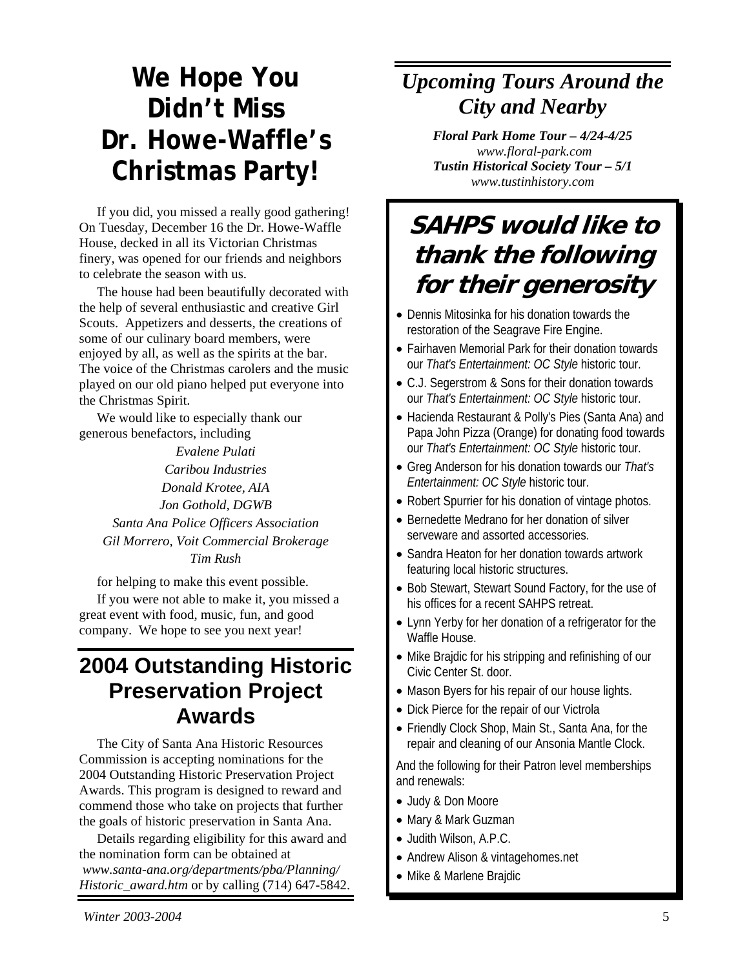## **We Hope You Didn't Miss Dr. Howe-Waffle's Christmas Party!**

If you did, you missed a really good gathering! On Tuesday, December 16 the Dr. Howe-Waffle House, decked in all its Victorian Christmas finery, was opened for our friends and neighbors to celebrate the season with us.

the help of several enthusiastic and creative Girl Scouts. Appetizers and desserts, the creations of some of our culinary board members, were enjoyed by all, as well as the spirits at the bar. The voice of the Christmas carolers and the music played on our old piano helped put everyone into the Christmas Spirit.

We would like to especially thank our generous benefactors, including

> *Evalene Pulati Caribou Industries Donald Krotee, AIA*  Santa Ana Police Officers Association **Constanting Constanting Constanting Constanting Constanting Constanting Constanting Constanting Constanting Constanting Constanting Constanting Constanting Constanting Constanting Con** *Tim Rush*

for helping to make this event possible.<br>• Bob Stewart, Stewart Sound Factory, for the use of If you were not able to make it, you missed a his offices for a recent SAHPS retreat. great event with food, music, fun, and good

# **Preservation Project Awards**

Commission is accepting nominations for the 2004 Outstanding Historic Preservation Project Awards. This program is designed to reward and commend those who take on projects that further the goals of historic preservation in Santa Ana.

Details regarding eligibility for this award and  $\bullet$  Judith Wilson, A.P.C. the nomination form can be obtained at *www.santa-ana.org/departments/pba/Planning/ Historic\_award.htm* or by calling (714) 647-5842.

### *Upcoming Tours Around the City and Nearby*

*Floral Park Home Tour – 4/24-4/25 www.floral-park.com Tustin Historical Society Tour – 5/1 www.tustinhistory.com* 

### **SAHPS would like to thank the following**  The house had been beautifully decorated with **for their generosity**

- Dennis Mitosinka for his donation towards the restoration of the Seagrave Fire Engine.
- Fairhaven Memorial Park for their donation towards our *That's Entertainment: OC Style* historic tour.
- C.J. Segerstrom & Sons for their donation towards our *That's Entertainment: OC Style* historic tour.
- Hacienda Restaurant & Polly's Pies (Santa Ana) and Papa John Pizza (Orange) for donating food towards our *That's Entertainment: OC Style* historic tour.
- Greg Anderson for his donation towards our *That's Entertainment: OC Style* historic tour.
- Robert Spurrier for his donation of vintage photos. *Jon Gothold, DGWB* 
	- Bernedette Medrano for her donation of silver
	- Sandra Heaton for her donation towards artwork featuring local historic structures.
	-
- great event with rood, music, run, and good<br>company. We hope to see you next year! Waffle House.
- **2004 Outstanding Historic**  $\cdot$  Mike Brajdic for his stripping and refinishing of our
	- Mason Byers for his repair of our house lights.
	- Dick Pierce for the repair of our Victrola
	- Friendly Clock Shop, Main St., Santa Ana, for the The City of Santa Ana Historic Resources repair and cleaning of our Ansonia Mantle Clock.

And the following for their Patron level memberships and renewals:

- Judy & Don Moore
- Mary & Mark Guzman
- 
- Andrew Alison & vintagehomes.net
- Mike & Marlene Brajdic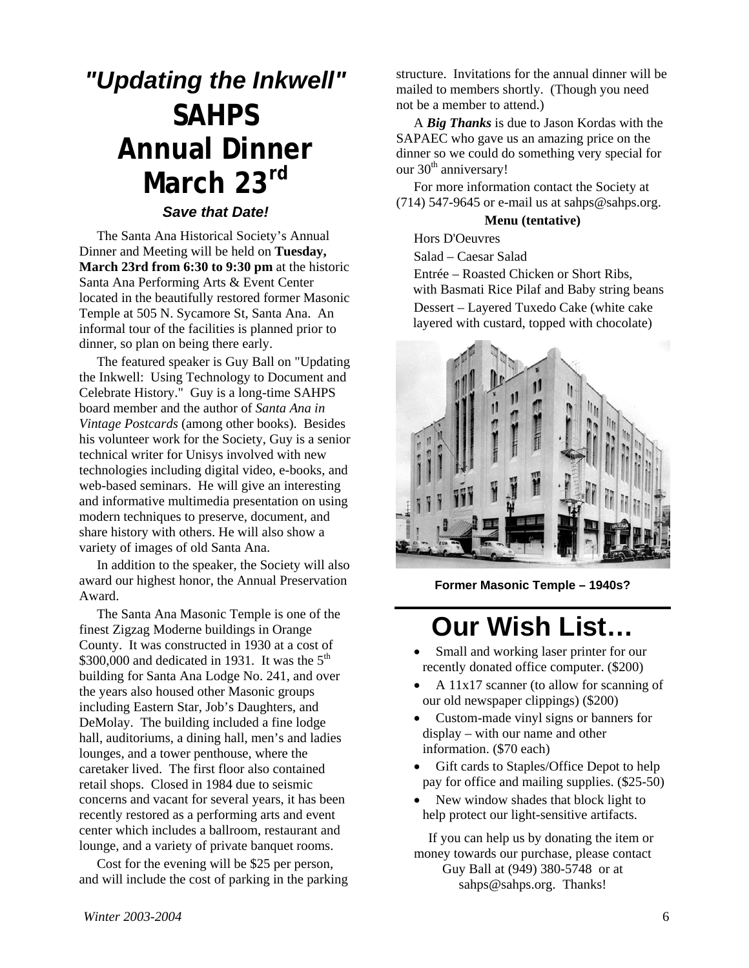## *"Updating the Inkwell"*  **SAHPS Annual Dinner March 23rd**

#### *Save that Date!*

The Santa Ana Historical Society's Annual Dinner and Meeting will be held on **Tuesday, March 23rd from 6:30 to 9:30 pm** at the historic Santa Ana Performing Arts & Event Center located in the beautifully restored former Masonic Temple at 505 N. Sycamore St, Santa Ana. An informal tour of the facilities is planned prior to dinner, so plan on being there early.

The featured speaker is Guy Ball on "Updating the Inkwell: Using Technology to Document and Celebrate History." Guy is a long-time SAHPS board member and the author of *Santa Ana in Vintage Postcards* (among other books). Besides his volunteer work for the Society, Guy is a senior technical writer for Unisys involved with new technologies including digital video, e-books, and web-based seminars. He will give an interesting and informative multimedia presentation on using modern techniques to preserve, document, and share history with others. He will also show a variety of images of old Santa Ana.

In addition to the speaker, the Society will also award our highest honor, the Annual Preservation Award.

The Santa Ana Masonic Temple is one of the finest Zigzag Moderne buildings in Orange County. It was constructed in 1930 at a cost of \$300,000 and dedicated in 1931. It was the  $5<sup>th</sup>$ building for Santa Ana Lodge No. 241, and over the years also housed other Masonic groups including Eastern Star, Job's Daughters, and DeMolay. The building included a fine lodge hall, auditoriums, a dining hall, men's and ladies lounges, and a tower penthouse, where the caretaker lived. The first floor also contained retail shops. Closed in 1984 due to seismic concerns and vacant for several years, it has been recently restored as a performing arts and event center which includes a ballroom, restaurant and lounge, and a variety of private banquet rooms.

Cost for the evening will be \$25 per person, and will include the cost of parking in the parking

structure. Invitations for the annual dinner will be mailed to members shortly. (Though you need not be a member to attend.)

A *Big Thanks* is due to Jason Kordas with the SAPAEC who gave us an amazing price on the dinner so we could do something very special for our 30<sup>th</sup> anniversary!

For more information contact the Society at  $(714)$  547-9645 or e-mail us at sahps@sahps.org.

#### **Menu (tentative)**

Hors D'Oeuvres

Salad – Caesar Salad

Entrée – Roasted Chicken or Short Ribs, with Basmati Rice Pilaf and Baby string beans Dessert – Layered Tuxedo Cake (white cake layered with custard, topped with chocolate)



**Former Masonic Temple – 1940s?** 

## **Our Wish List…**

- Small and working laser printer for our recently donated office computer. (\$200)
- A 11x17 scanner (to allow for scanning of our old newspaper clippings) (\$200)
- Custom-made vinyl signs or banners for display – with our name and other information. (\$70 each)
- Gift cards to Staples/Office Depot to help pay for office and mailing supplies. (\$25-50)
- New window shades that block light to help protect our light-sensitive artifacts.

If you can help us by donating the item or money towards our purchase, please contact Guy Ball at (949) 380-5748 or at sahps@sahps.org. Thanks!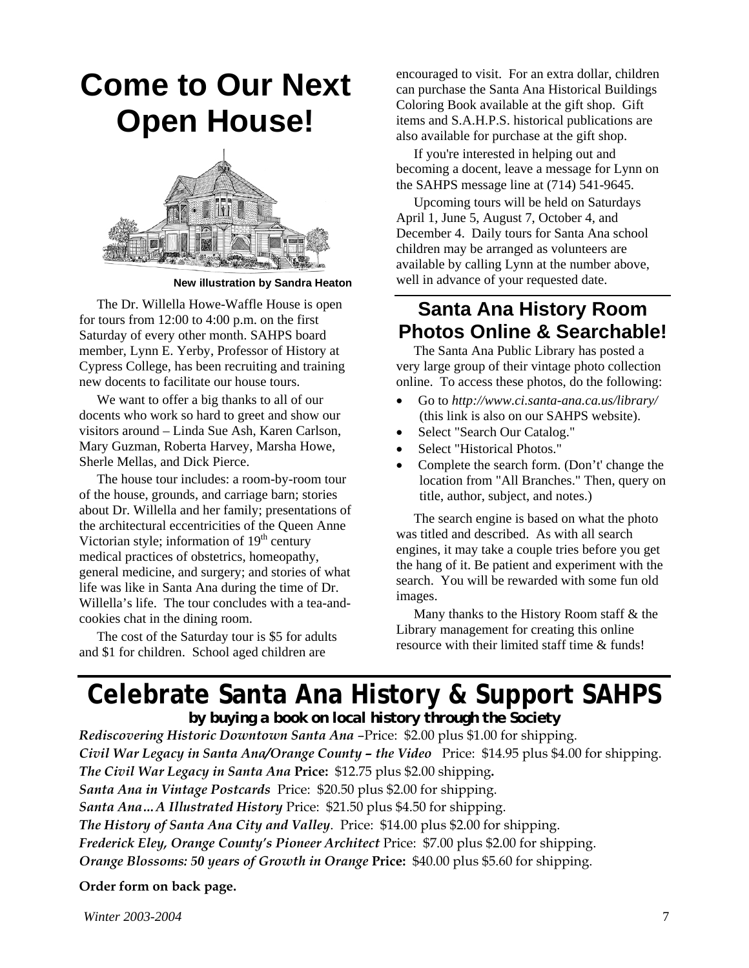## **Come to Our Next Open House!**



**New illustration by Sandra Heaton** 

The Dr. Willella Howe-Waffle House is open for tours from 12:00 to 4:00 p.m. on the first Saturday of every other month. SAHPS board member, Lynn E. Yerby, Professor of History at Cypress College, has been recruiting and training new docents to facilitate our house tours.

We want to offer a big thanks to all of our docents who work so hard to greet and show our visitors around – Linda Sue Ash, Karen Carlson, Mary Guzman, Roberta Harvey, Marsha Howe, Sherle Mellas, and Dick Pierce.

The house tour includes: a room-by-room tour of the house, grounds, and carriage barn; stories about Dr. Willella and her family; presentations of the architectural eccentricities of the Queen Anne Victorian style; information of  $19<sup>th</sup>$  century medical practices of obstetrics, homeopathy, general medicine, and surgery; and stories of what life was like in Santa Ana during the time of Dr. Willella's life. The tour concludes with a tea-andcookies chat in the dining room.

The cost of the Saturday tour is \$5 for adults and \$1 for children. School aged children are

encouraged to visit. For an extra dollar, children can purchase the Santa Ana Historical Buildings Coloring Book available at the gift shop. Gift items and S.A.H.P.S. historical publications are also available for purchase at the gift shop.

If you're interested in helping out and becoming a docent, leave a message for Lynn on the SAHPS message line at (714) 541-9645.

Upcoming tours will be held on Saturdays April 1, June 5, August 7, October 4, and December 4. Daily tours for Santa Ana school children may be arranged as volunteers are available by calling Lynn at the number above, well in advance of your requested date.

#### **Santa Ana History Room Photos Online & Searchable!**

The Santa Ana Public Library has posted a very large group of their vintage photo collection online. To access these photos, do the following:

- Go to *http://www.ci.santa-ana.ca.us/library/* (this link is also on our SAHPS website).
- Select "Search Our Catalog."
- Select "Historical Photos."
- Complete the search form. (Don't' change the location from "All Branches." Then, query on title, author, subject, and notes.)

The search engine is based on what the photo was titled and described. As with all search engines, it may take a couple tries before you get the hang of it. Be patient and experiment with the search. You will be rewarded with some fun old images.

Many thanks to the History Room staff & the Library management for creating this online resource with their limited staff time & funds!

### **Celebrate Santa Ana History & Support SAHPS**

*by buying a book on local history through the Society Rediscovering Historic Downtown Santa Ana* –Price: \$2.00 plus \$1.00 for shipping. *Civil War Legacy in Santa Ana/Orange County – the Video* Price: \$14.95 plus \$4.00 for shipping. *The Civil War Legacy in Santa Ana* **Price:** \$12.75 plus \$2.00 shipping**.**  *Santa Ana in Vintage Postcards* Price: \$20.50 plus \$2.00 for shipping. *Santa Ana…A Illustrated History* Price: \$21.50 plus \$4.50 for shipping. *The History of Santa Ana City and Valley*. Price: \$14.00 plus \$2.00 for shipping. *Frederick Eley, Orange County's Pioneer Architect* Price: \$7.00 plus \$2.00 for shipping. *Orange Blossoms: 50 years of Growth in Orange* **Price:** \$40.00 plus \$5.60 for shipping.

**Order form on back page.**